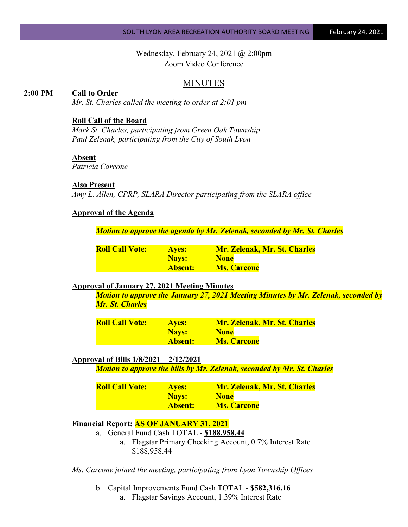Wednesday, February 24, 2021 @ 2:00pm Zoom Video Conference

# MINUTES

## **2:00 PM Call to Order**

*Mr. St. Charles called the meeting to order at 2:01 pm*

#### **Roll Call of the Board**

*Mark St. Charles, participating from Green Oak Township Paul Zelenak, participating from the City of South Lyon*

#### **Absent**

*Patricia Carcone*

#### **Also Present**

*Amy L. Allen, CPRP, SLARA Director participating from the SLARA office*

### **Approval of the Agenda**

*Motion to approve the agenda by Mr. Zelenak, seconded by Mr. St. Charles*

| <b>Roll Call Vote:</b> | <b>Aves:</b> | <b>Mr. Zelenak, Mr. St. Charles</b> |
|------------------------|--------------|-------------------------------------|
|                        | Navs:        | <b>None</b>                         |
|                        | Absent:      | <b>Ms. Carcone</b>                  |

# **Approval of January 27, 2021 Meeting Minutes**

*Motion to approve the January 27, 2021 Meeting Minutes by Mr. Zelenak, seconded by Mr. St. Charles*

| <b>Roll Call Vote:</b> | <b>Aves:</b>   | <b>Mr. Zelenak, Mr. St. Charles</b> |
|------------------------|----------------|-------------------------------------|
|                        | Nays:          | <b>None</b>                         |
|                        | <b>Absent:</b> | <b>Ms. Carcone</b>                  |

#### **Approval of Bills 1/8/2021 – 2/12/2021**

*Motion to approve the bills by Mr. Zelenak, seconded by Mr. St. Charles*

| <b>Roll Call Vote:</b> | <b>Ayes:</b>   | <b>Mr. Zelenak, Mr. St. Charles</b> |
|------------------------|----------------|-------------------------------------|
|                        | Nays:/         | <b>None</b>                         |
|                        | <b>Absent:</b> | <b>Ms. Carcone</b>                  |

#### **Financial Report: AS OF JANUARY 31, 2021**

- a. General Fund Cash TOTAL **\$188,958.44**
	- a. Flagstar Primary Checking Account, 0.7% Interest Rate \$188,958.44

*Ms. Carcone joined the meeting, participating from Lyon Township Offices*

b. Capital Improvements Fund Cash TOTAL - **\$582,316.16** a. Flagstar Savings Account, 1.39% Interest Rate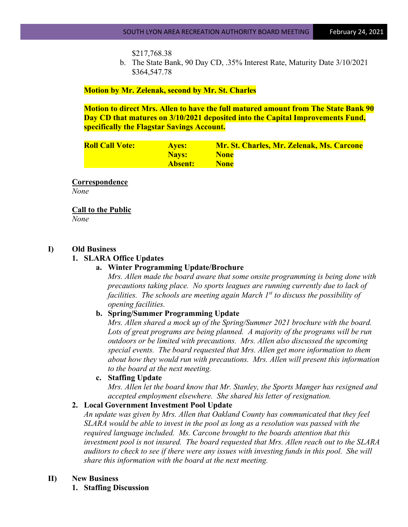\$217,768.38

b. The State Bank, 90 Day CD, .35% Interest Rate, Maturity Date 3/10/2021 \$364,547.78

# **Motion by Mr. Zelenak, second by Mr. St. Charles**

**Motion to direct Mrs. Allen to have the full matured amount from The State Bank 90 Day CD that matures on 3/10/2021 deposited into the Capital Improvements Fund, specifically the Flagstar Savings Account.**

| <b>Roll Call Vote:</b> | <b>Aves:</b> | <b>Mr. St. Charles, Mr. Zelenak, Ms. Carcone</b> |
|------------------------|--------------|--------------------------------------------------|
|                        | <b>Navs:</b> | <b>None</b>                                      |
|                        | Absent:      | <b>None</b>                                      |

### **Correspondence**

*None*

# **Call to the Public**

*None*

# **I) Old Business**

# **1. SLARA Office Updates**

# **a. Winter Programming Update/Brochure**

*Mrs. Allen made the board aware that some onsite programming is being done with precautions taking place. No sports leagues are running currently due to lack of facilities. The schools are meeting again March 1st to discuss the possibility of opening facilities.*

## **b. Spring/Summer Programming Update**

*Mrs. Allen shared a mock up of the Spring/Summer 2021 brochure with the board.*  Lots of great programs are being planned. A majority of the programs will be run *outdoors or be limited with precautions. Mrs. Allen also discussed the upcoming special events. The board requested that Mrs. Allen get more information to them about how they would run with precautions. Mrs. Allen will present this information to the board at the next meeting.*

# **c. Staffing Update**

*Mrs. Allen let the board know that Mr. Stanley, the Sports Manger has resigned and accepted employment elsewhere. She shared his letter of resignation.* 

### **2. Local Government Investment Pool Update**

*An update was given by Mrs. Allen that Oakland County has communicated that they feel SLARA would be able to invest in the pool as long as a resolution was passed with the required language included. Ms. Carcone brought to the boards attention that this investment pool is not insured. The board requested that Mrs. Allen reach out to the SLARA auditors to check to see if there were any issues with investing funds in this pool. She will share this information with the board at the next meeting.* 

### **II) New Business**

**1. Staffing Discussion**